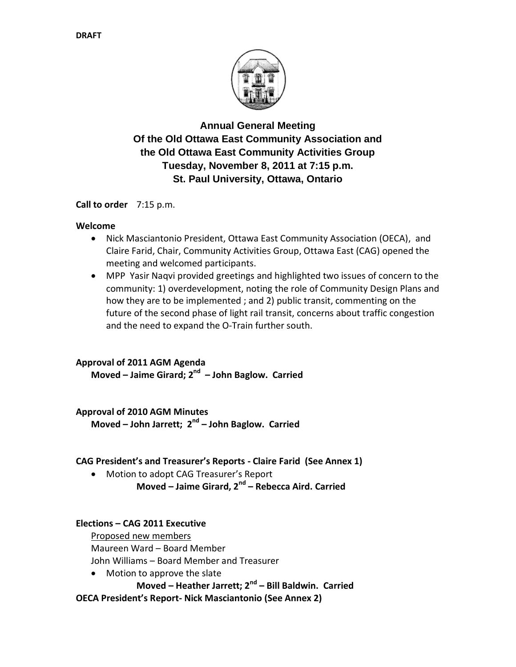

**Annual General Meeting Of the Old Ottawa East Community Association and the Old Ottawa East Community Activities Group Tuesday, November 8, 2011 at 7:15 p.m. St. Paul University, Ottawa, Ontario**

**Call to order** 7:15 p.m.

#### **Welcome**

- Nick Masciantonio President, Ottawa East Community Association (OECA), and Claire Farid, Chair, Community Activities Group, Ottawa East (CAG) opened the meeting and welcomed participants.
- MPP Yasir Naqvi provided greetings and highlighted two issues of concern to the community: 1) overdevelopment, noting the role of Community Design Plans and how they are to be implemented ; and 2) public transit, commenting on the future of the second phase of light rail transit, concerns about traffic congestion and the need to expand the O-Train further south.

#### **Approval of 2011 AGM Agenda**

**Moved – Jaime Girard; 2 nd – John Baglow. Carried**

#### **Approval of 2010 AGM Minutes**

**Moved – John Jarrett; 2 nd – John Baglow. Carried**

## **CAG President's and Treasurer's Reports - Claire Farid (See Annex 1)**

 Motion to adopt CAG Treasurer's Report **Moved – Jaime Girard, 2nd – Rebecca Aird. Carried**

## **Elections – CAG 2011 Executive**

Proposed new members Maureen Ward – Board Member John Williams – Board Member and Treasurer

• Motion to approve the slate

**Moved – Heather Jarrett; 2nd – Bill Baldwin. Carried**

**OECA President's Report- Nick Masciantonio (See Annex 2)**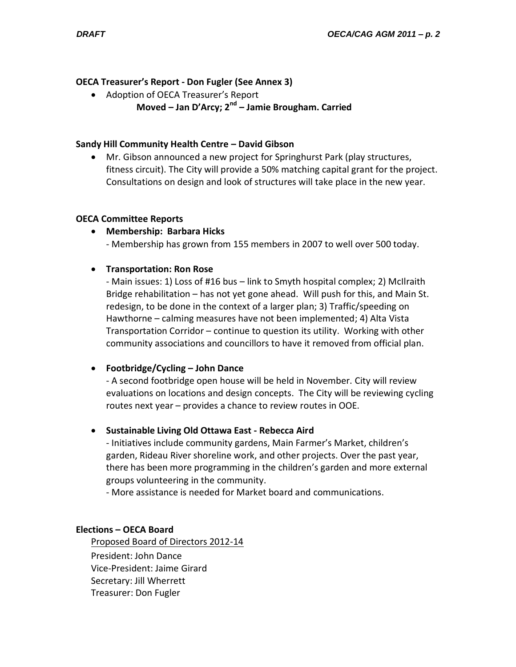### **OECA Treasurer's Report - Don Fugler (See Annex 3)**

- Adoption of OECA Treasurer's Report
	- **Moved – Jan D'Arcy; 2nd – Jamie Brougham. Carried**

#### **Sandy Hill Community Health Centre – David Gibson**

 Mr. Gibson announced a new project for Springhurst Park (play structures, fitness circuit). The City will provide a 50% matching capital grant for the project. Consultations on design and look of structures will take place in the new year.

#### **OECA Committee Reports**

**Membership: Barbara Hicks**

- Membership has grown from 155 members in 2007 to well over 500 today.

**Transportation: Ron Rose**

- Main issues: 1) Loss of #16 bus – link to Smyth hospital complex; 2) McIlraith Bridge rehabilitation – has not yet gone ahead. Will push for this, and Main St. redesign, to be done in the context of a larger plan; 3) Traffic/speeding on Hawthorne – calming measures have not been implemented; 4) Alta Vista Transportation Corridor – continue to question its utility. Working with other community associations and councillors to have it removed from official plan.

## **Footbridge/Cycling – John Dance**

- A second footbridge open house will be held in November. City will review evaluations on locations and design concepts. The City will be reviewing cycling routes next year – provides a chance to review routes in OOE.

#### **Sustainable Living Old Ottawa East - Rebecca Aird**

- Initiatives include community gardens, Main Farmer's Market, children's garden, Rideau River shoreline work, and other projects. Over the past year, there has been more programming in the children's garden and more external groups volunteering in the community.

- More assistance is needed for Market board and communications.

#### **Elections – OECA Board**

Proposed Board of Directors 2012-14 President: John Dance Vice-President: Jaime Girard Secretary: Jill Wherrett Treasurer: Don Fugler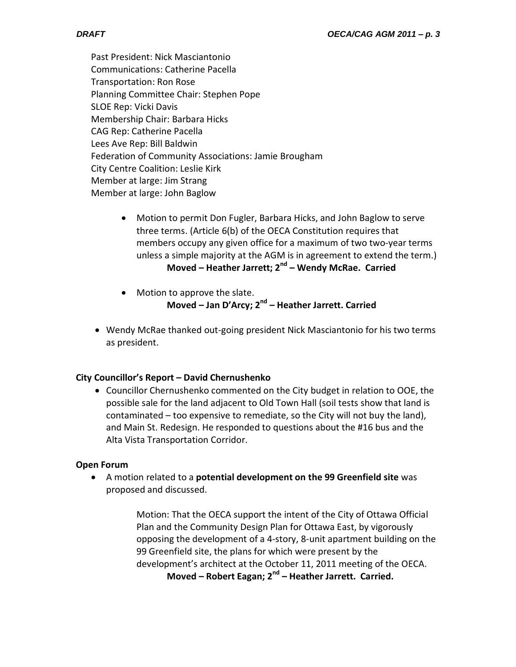Past President: Nick Masciantonio Communications: Catherine Pacella Transportation: Ron Rose Planning Committee Chair: Stephen Pope SLOE Rep: Vicki Davis Membership Chair: Barbara Hicks CAG Rep: Catherine Pacella Lees Ave Rep: Bill Baldwin Federation of Community Associations: Jamie Brougham City Centre Coalition: Leslie Kirk Member at large: Jim Strang Member at large: John Baglow

- Motion to permit Don Fugler, Barbara Hicks, and John Baglow to serve three terms. (Article 6(b) of the OECA Constitution requires that members occupy any given office for a maximum of two two-year terms unless a simple majority at the AGM is in agreement to extend the term.) **Moved – Heather Jarrett; 2nd – Wendy McRae. Carried**
- Motion to approve the slate. **Moved – Jan D'Arcy; 2 nd – Heather Jarrett. Carried**
- Wendy McRae thanked out-going president Nick Masciantonio for his two terms as president.

# **City Councillor's Report – David Chernushenko**

 Councillor Chernushenko commented on the City budget in relation to OOE, the possible sale for the land adjacent to Old Town Hall (soil tests show that land is contaminated – too expensive to remediate, so the City will not buy the land), and Main St. Redesign. He responded to questions about the #16 bus and the Alta Vista Transportation Corridor.

## **Open Forum**

 A motion related to a **potential development on the 99 Greenfield site** was proposed and discussed.

> Motion: That the OECA support the intent of the City of Ottawa Official Plan and the Community Design Plan for Ottawa East, by vigorously opposing the development of a 4-story, 8-unit apartment building on the 99 Greenfield site, the plans for which were present by the development's architect at the October 11, 2011 meeting of the OECA.

**Moved – Robert Eagan; 2nd – Heather Jarrett. Carried.**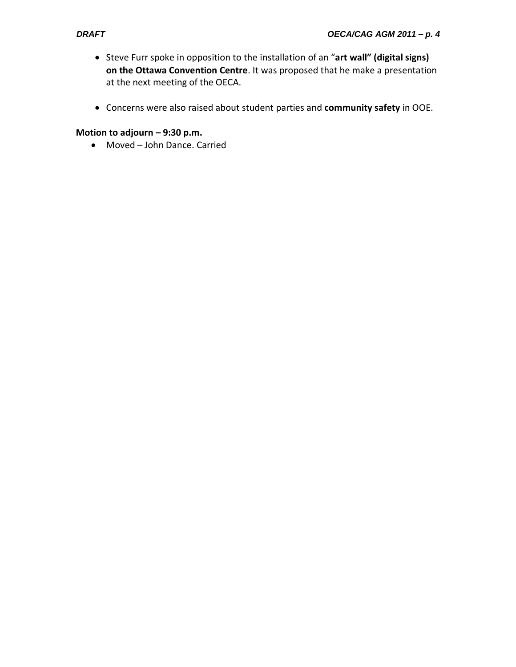- Steve Furr spoke in opposition to the installation of an "**art wall" (digital signs) on the Ottawa Convention Centre**. It was proposed that he make a presentation at the next meeting of the OECA.
- Concerns were also raised about student parties and **community safety** in OOE.

## **Motion to adjourn – 9:30 p.m.**

Moved – John Dance. Carried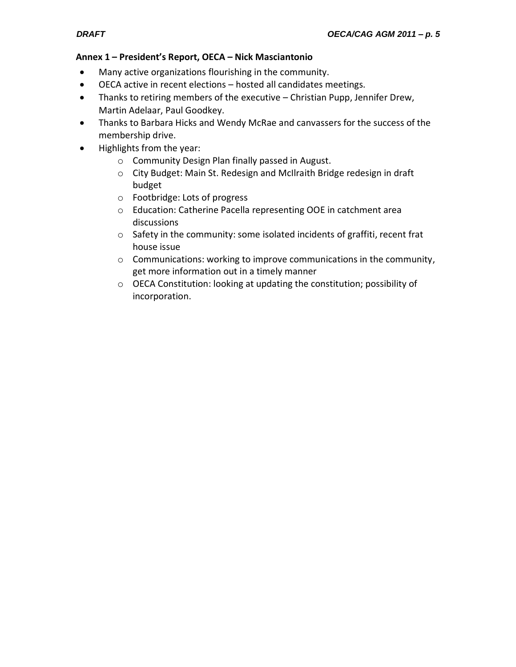#### **Annex 1 – President's Report, OECA – Nick Masciantonio**

- Many active organizations flourishing in the community.
- OECA active in recent elections hosted all candidates meetings.
- Thanks to retiring members of the executive Christian Pupp, Jennifer Drew, Martin Adelaar, Paul Goodkey.
- Thanks to Barbara Hicks and Wendy McRae and canvassers for the success of the membership drive.
- Highlights from the year:
	- o Community Design Plan finally passed in August.
	- o City Budget: Main St. Redesign and McIlraith Bridge redesign in draft budget
	- o Footbridge: Lots of progress
	- o Education: Catherine Pacella representing OOE in catchment area discussions
	- o Safety in the community: some isolated incidents of graffiti, recent frat house issue
	- o Communications: working to improve communications in the community, get more information out in a timely manner
	- o OECA Constitution: looking at updating the constitution; possibility of incorporation.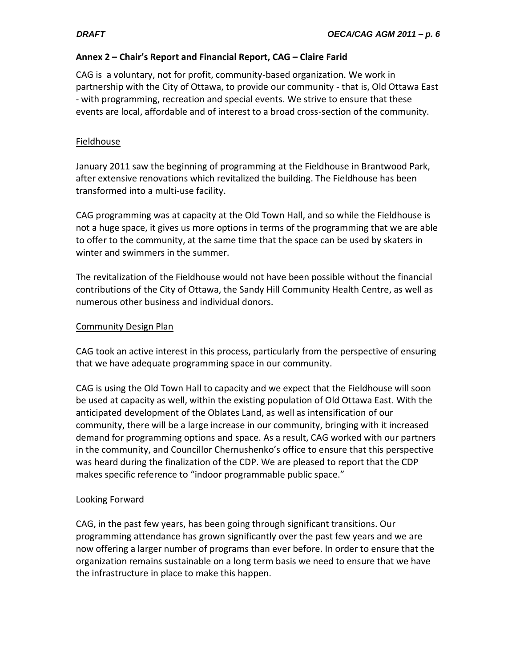## **Annex 2 – Chair's Report and Financial Report, CAG – Claire Farid**

CAG is a voluntary, not for profit, community-based organization. We work in partnership with the City of Ottawa, to provide our community - that is, Old Ottawa East - with programming, recreation and special events. We strive to ensure that these events are local, affordable and of interest to a broad cross-section of the community.

## Fieldhouse

January 2011 saw the beginning of programming at the Fieldhouse in Brantwood Park, after extensive renovations which revitalized the building. The Fieldhouse has been transformed into a multi-use facility.

CAG programming was at capacity at the Old Town Hall, and so while the Fieldhouse is not a huge space, it gives us more options in terms of the programming that we are able to offer to the community, at the same time that the space can be used by skaters in winter and swimmers in the summer.

The revitalization of the Fieldhouse would not have been possible without the financial contributions of the City of Ottawa, the Sandy Hill Community Health Centre, as well as numerous other business and individual donors.

## Community Design Plan

CAG took an active interest in this process, particularly from the perspective of ensuring that we have adequate programming space in our community.

CAG is using the Old Town Hall to capacity and we expect that the Fieldhouse will soon be used at capacity as well, within the existing population of Old Ottawa East. With the anticipated development of the Oblates Land, as well as intensification of our community, there will be a large increase in our community, bringing with it increased demand for programming options and space. As a result, CAG worked with our partners in the community, and Councillor Chernushenko's office to ensure that this perspective was heard during the finalization of the CDP. We are pleased to report that the CDP makes specific reference to "indoor programmable public space."

# Looking Forward

CAG, in the past few years, has been going through significant transitions. Our programming attendance has grown significantly over the past few years and we are now offering a larger number of programs than ever before. In order to ensure that the organization remains sustainable on a long term basis we need to ensure that we have the infrastructure in place to make this happen.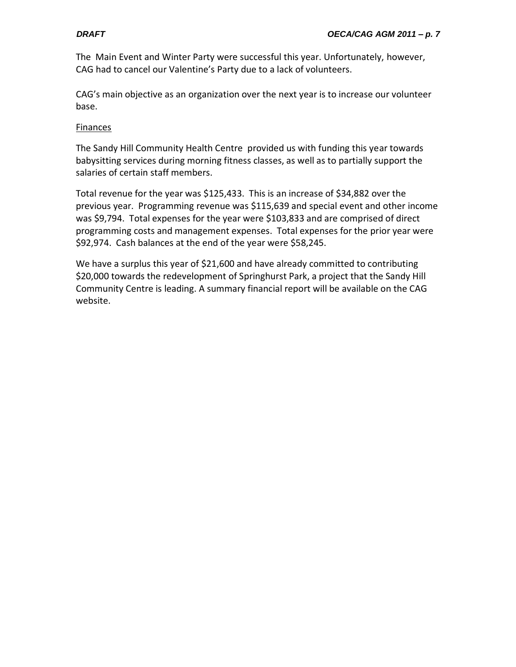The Main Event and Winter Party were successful this year. Unfortunately, however, CAG had to cancel our Valentine's Party due to a lack of volunteers.

CAG's main objective as an organization over the next year is to increase our volunteer base.

#### Finances

The Sandy Hill Community Health Centre provided us with funding this year towards babysitting services during morning fitness classes, as well as to partially support the salaries of certain staff members.

Total revenue for the year was \$125,433. This is an increase of \$34,882 over the previous year. Programming revenue was \$115,639 and special event and other income was \$9,794. Total expenses for the year were \$103,833 and are comprised of direct programming costs and management expenses. Total expenses for the prior year were \$92,974. Cash balances at the end of the year were \$58,245.

We have a surplus this year of \$21,600 and have already committed to contributing \$20,000 towards the redevelopment of Springhurst Park, a project that the Sandy Hill Community Centre is leading. A summary financial report will be available on the CAG website.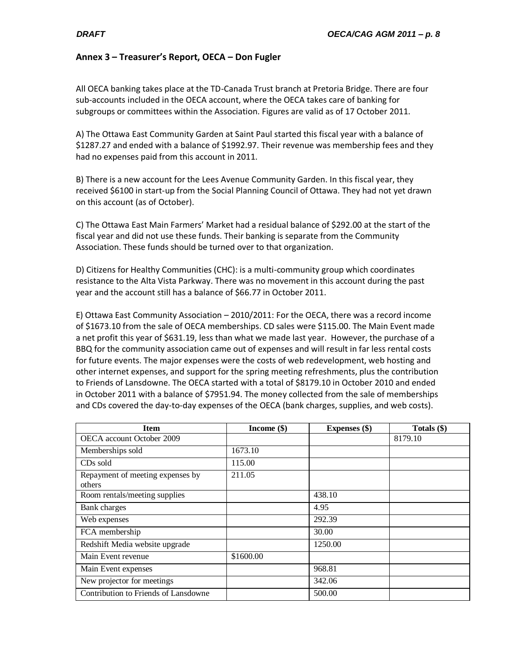#### **Annex 3 – Treasurer's Report, OECA – Don Fugler**

All OECA banking takes place at the TD-Canada Trust branch at Pretoria Bridge. There are four sub-accounts included in the OECA account, where the OECA takes care of banking for subgroups or committees within the Association. Figures are valid as of 17 October 2011.

A) The Ottawa East Community Garden at Saint Paul started this fiscal year with a balance of \$1287.27 and ended with a balance of \$1992.97. Their revenue was membership fees and they had no expenses paid from this account in 2011.

B) There is a new account for the Lees Avenue Community Garden. In this fiscal year, they received \$6100 in start-up from the Social Planning Council of Ottawa. They had not yet drawn on this account (as of October).

C) The Ottawa East Main Farmers' Market had a residual balance of \$292.00 at the start of the fiscal year and did not use these funds. Their banking is separate from the Community Association. These funds should be turned over to that organization.

D) Citizens for Healthy Communities (CHC): is a multi-community group which coordinates resistance to the Alta Vista Parkway. There was no movement in this account during the past year and the account still has a balance of \$66.77 in October 2011.

E) Ottawa East Community Association – 2010/2011: For the OECA, there was a record income of \$1673.10 from the sale of OECA memberships. CD sales were \$115.00. The Main Event made a net profit this year of \$631.19, less than what we made last year. However, the purchase of a BBQ for the community association came out of expenses and will result in far less rental costs for future events. The major expenses were the costs of web redevelopment, web hosting and other internet expenses, and support for the spring meeting refreshments, plus the contribution to Friends of Lansdowne. The OECA started with a total of \$8179.10 in October 2010 and ended in October 2011 with a balance of \$7951.94. The money collected from the sale of memberships and CDs covered the day-to-day expenses of the OECA (bank charges, supplies, and web costs).

| <b>Item</b>                                | Income $(\$)$ | <b>Expenses</b> (\$) | Totals (\$) |
|--------------------------------------------|---------------|----------------------|-------------|
| OECA account October 2009                  |               |                      | 8179.10     |
| Memberships sold                           | 1673.10       |                      |             |
| CD <sub>s</sub> sold                       | 115.00        |                      |             |
| Repayment of meeting expenses by<br>others | 211.05        |                      |             |
| Room rentals/meeting supplies              |               | 438.10               |             |
| Bank charges                               |               | 4.95                 |             |
| Web expenses                               |               | 292.39               |             |
| FCA membership                             |               | 30.00                |             |
| Redshift Media website upgrade             |               | 1250.00              |             |
| Main Event revenue                         | \$1600.00     |                      |             |
| Main Event expenses                        |               | 968.81               |             |
| New projector for meetings                 |               | 342.06               |             |
| Contribution to Friends of Lansdowne       |               | 500.00               |             |